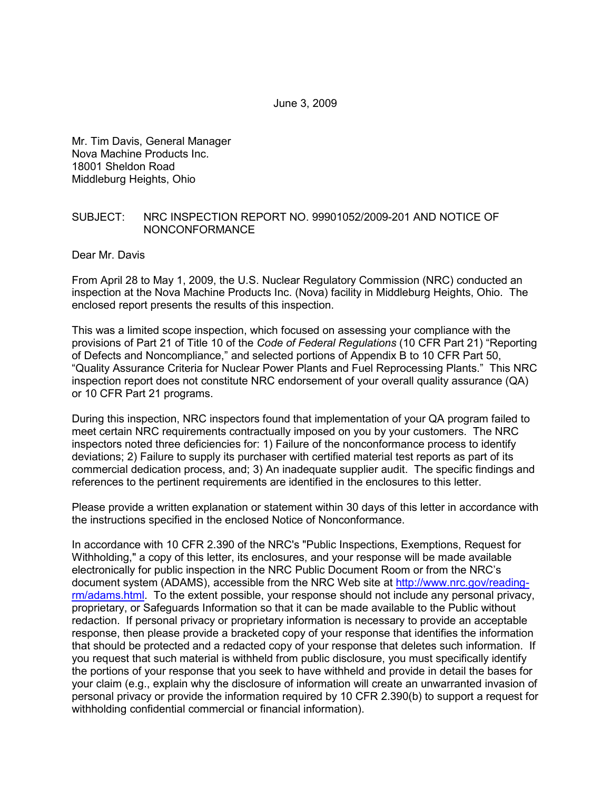Mr. Tim Davis, General Manager Nova Machine Products Inc. 18001 Sheldon Road Middleburg Heights, Ohio

#### SUBJECT: NRC INSPECTION REPORT NO. 99901052/2009-201 AND NOTICE OF NONCONFORMANCE

Dear Mr. Davis

From April 28 to May 1, 2009, the U.S. Nuclear Regulatory Commission (NRC) conducted an inspection at the Nova Machine Products Inc. (Nova) facility in Middleburg Heights, Ohio. The enclosed report presents the results of this inspection.

This was a limited scope inspection, which focused on assessing your compliance with the provisions of Part 21 of Title 10 of the *Code of Federal Regulations* (10 CFR Part 21) "Reporting of Defects and Noncompliance," and selected portions of Appendix B to 10 CFR Part 50, "Quality Assurance Criteria for Nuclear Power Plants and Fuel Reprocessing Plants." This NRC inspection report does not constitute NRC endorsement of your overall quality assurance (QA) or 10 CFR Part 21 programs.

During this inspection, NRC inspectors found that implementation of your QA program failed to meet certain NRC requirements contractually imposed on you by your customers. The NRC inspectors noted three deficiencies for: 1) Failure of the nonconformance process to identify deviations; 2) Failure to supply its purchaser with certified material test reports as part of its commercial dedication process, and; 3) An inadequate supplier audit. The specific findings and references to the pertinent requirements are identified in the enclosures to this letter.

Please provide a written explanation or statement within 30 days of this letter in accordance with the instructions specified in the enclosed Notice of Nonconformance.

In accordance with 10 CFR 2.390 of the NRC's "Public Inspections, Exemptions, Request for Withholding," a copy of this letter, its enclosures, and your response will be made available electronically for public inspection in the NRC Public Document Room or from the NRC's document system (ADAMS), accessible from the NRC Web site at http://www.nrc.gov/readingrm/adams.html. To the extent possible, your response should not include any personal privacy, proprietary, or Safeguards Information so that it can be made available to the Public without redaction. If personal privacy or proprietary information is necessary to provide an acceptable response, then please provide a bracketed copy of your response that identifies the information that should be protected and a redacted copy of your response that deletes such information. If you request that such material is withheld from public disclosure, you must specifically identify the portions of your response that you seek to have withheld and provide in detail the bases for your claim (e.g., explain why the disclosure of information will create an unwarranted invasion of personal privacy or provide the information required by 10 CFR 2.390(b) to support a request for withholding confidential commercial or financial information).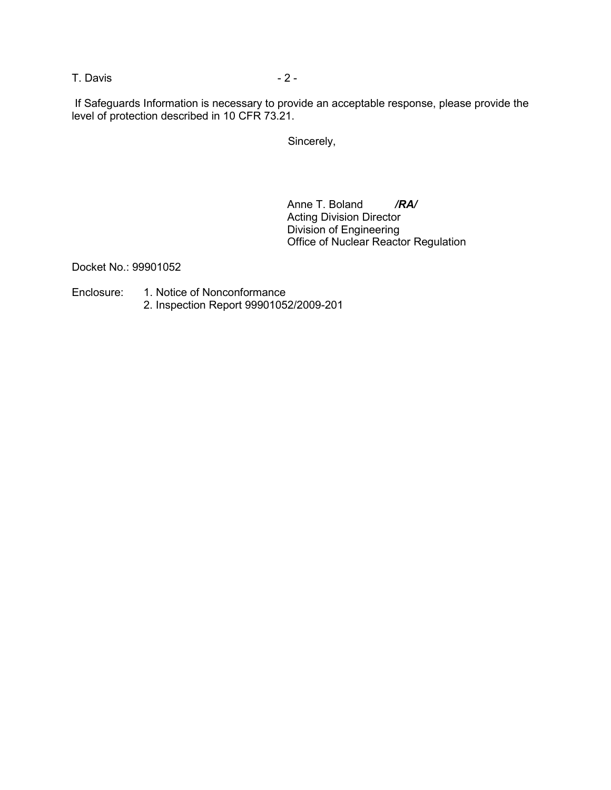T. Davis 2 -

 If Safeguards Information is necessary to provide an acceptable response, please provide the level of protection described in 10 CFR 73.21.

Sincerely,

Anne T. Boland */RA/* Acting Division Director Division of Engineering Office of Nuclear Reactor Regulation

Docket No.: 99901052

- Enclosure: 1. Notice of Nonconformance
	- 2. Inspection Report 99901052/2009-201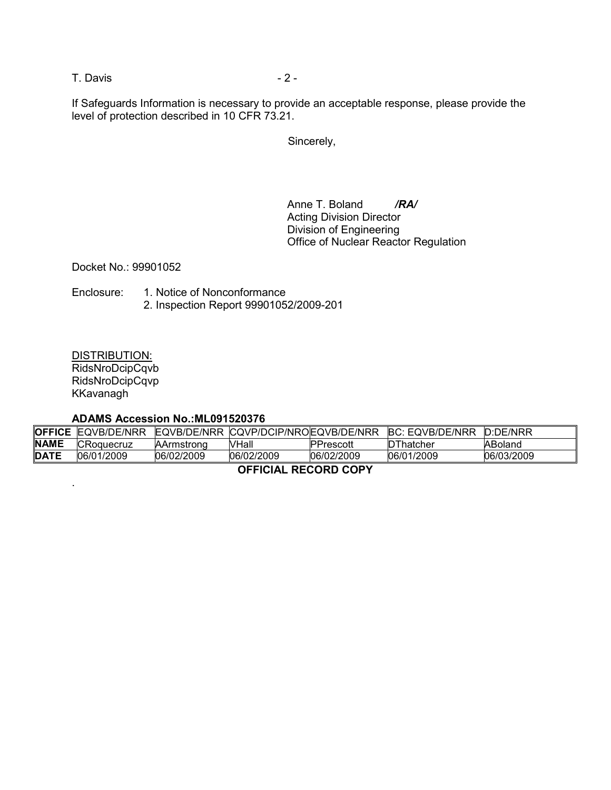T. Davis 2 -

If Safeguards Information is necessary to provide an acceptable response, please provide the level of protection described in 10 CFR 73.21.

Sincerely,

Anne T. Boland **/RA/** Acting Division Director Division of Engineering Office of Nuclear Reactor Regulation

Docket No.: 99901052

Enclosure: 1. Notice of Nonconformance 2. Inspection Report 99901052/2009-201

DISTRIBUTION: RidsNroDcipCqvb RidsNroDcipCqvp KKavanagh

.

#### **ADAMS Accession No.:ML091520376**

| <b>OFFICE</b>        | EQVB/DE/NRR       |                   | EQVB/DE/NRR CQVP/DCIP/NROEQVB/DE/NRR |                  | <b>BC: EQVB/DE/NRR</b> | D:DE/NRR   |
|----------------------|-------------------|-------------------|--------------------------------------|------------------|------------------------|------------|
| <b>NAME</b>          | <b>CRoquecruz</b> | <b>AArmstrong</b> | VHall                                | <b>PPrescott</b> | DThatcher              | ABoland    |
| <b>DATE</b>          | 06/01/2009        | 06/02/2009        | 06/02/2009                           | 06/02/2009       | 06/01/2009             | 06/03/2009 |
| AFFICIAL BECARD CABY |                   |                   |                                      |                  |                        |            |

#### **OFFICIAL RECORD COPY**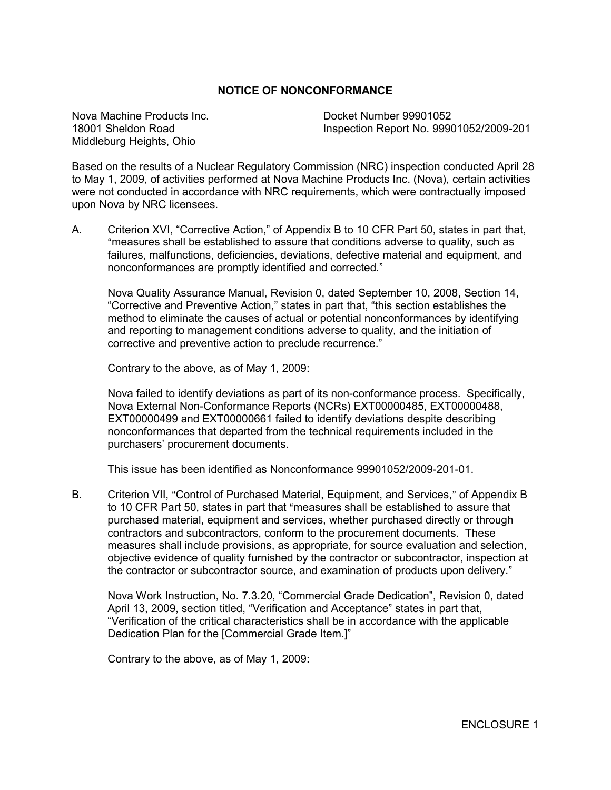#### **NOTICE OF NONCONFORMANCE**

Nova Machine Products Inc. Docket Number 99901052 Middleburg Heights, Ohio

18001 Sheldon Road Inspection Report No. 99901052/2009-201

Based on the results of a Nuclear Regulatory Commission (NRC) inspection conducted April 28 to May 1, 2009, of activities performed at Nova Machine Products Inc. (Nova), certain activities were not conducted in accordance with NRC requirements, which were contractually imposed upon Nova by NRC licensees.

A. Criterion XVI, "Corrective Action," of Appendix B to 10 CFR Part 50, states in part that, "measures shall be established to assure that conditions adverse to quality, such as failures, malfunctions, deficiencies, deviations, defective material and equipment, and nonconformances are promptly identified and corrected."

Nova Quality Assurance Manual, Revision 0, dated September 10, 2008, Section 14, "Corrective and Preventive Action," states in part that, "this section establishes the method to eliminate the causes of actual or potential nonconformances by identifying and reporting to management conditions adverse to quality, and the initiation of corrective and preventive action to preclude recurrence."

Contrary to the above, as of May 1, 2009:

Nova failed to identify deviations as part of its non-conformance process. Specifically, Nova External Non-Conformance Reports (NCRs) EXT00000485, EXT00000488, EXT00000499 and EXT00000661 failed to identify deviations despite describing nonconformances that departed from the technical requirements included in the purchasers' procurement documents.

This issue has been identified as Nonconformance 99901052/2009-201-01.

B. Criterion VII, "Control of Purchased Material, Equipment, and Services," of Appendix B to 10 CFR Part 50, states in part that "measures shall be established to assure that purchased material, equipment and services, whether purchased directly or through contractors and subcontractors, conform to the procurement documents. These measures shall include provisions, as appropriate, for source evaluation and selection, objective evidence of quality furnished by the contractor or subcontractor, inspection at the contractor or subcontractor source, and examination of products upon delivery."

Nova Work Instruction, No. 7.3.20, "Commercial Grade Dedication", Revision 0, dated April 13, 2009, section titled, "Verification and Acceptance" states in part that, "Verification of the critical characteristics shall be in accordance with the applicable Dedication Plan for the [Commercial Grade Item.]"

Contrary to the above, as of May 1, 2009: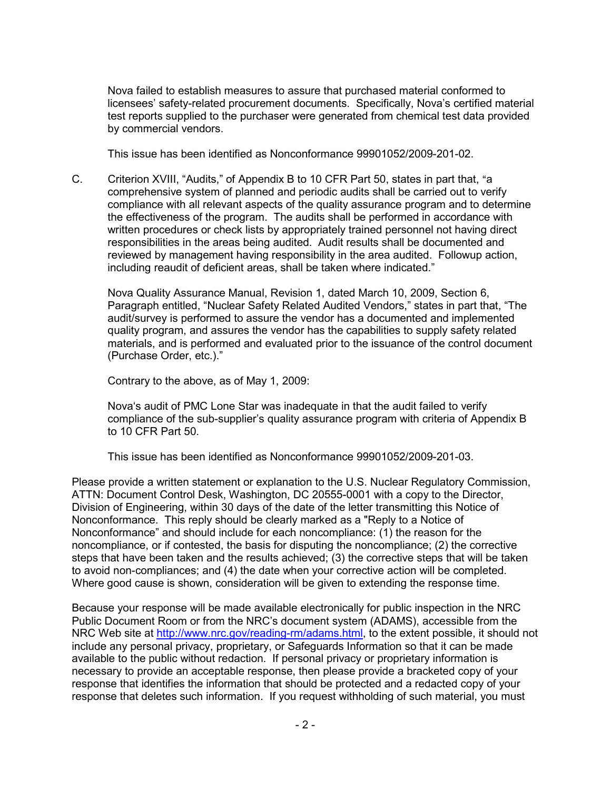Nova failed to establish measures to assure that purchased material conformed to licensees' safety-related procurement documents. Specifically, Nova's certified material test reports supplied to the purchaser were generated from chemical test data provided by commercial vendors.

This issue has been identified as Nonconformance 99901052/2009-201-02.

C. Criterion XVIII, "Audits," of Appendix B to 10 CFR Part 50, states in part that, "a comprehensive system of planned and periodic audits shall be carried out to verify compliance with all relevant aspects of the quality assurance program and to determine the effectiveness of the program. The audits shall be performed in accordance with written procedures or check lists by appropriately trained personnel not having direct responsibilities in the areas being audited. Audit results shall be documented and reviewed by management having responsibility in the area audited. Followup action, including reaudit of deficient areas, shall be taken where indicated."

Nova Quality Assurance Manual, Revision 1, dated March 10, 2009, Section 6, Paragraph entitled, "Nuclear Safety Related Audited Vendors," states in part that, "The audit/survey is performed to assure the vendor has a documented and implemented quality program, and assures the vendor has the capabilities to supply safety related materials, and is performed and evaluated prior to the issuance of the control document (Purchase Order, etc.)."

Contrary to the above, as of May 1, 2009:

Nova's audit of PMC Lone Star was inadequate in that the audit failed to verify compliance of the sub-supplier's quality assurance program with criteria of Appendix B to 10 CFR Part 50.

This issue has been identified as Nonconformance 99901052/2009-201-03.

Please provide a written statement or explanation to the U.S. Nuclear Regulatory Commission, ATTN: Document Control Desk, Washington, DC 20555-0001 with a copy to the Director, Division of Engineering, within 30 days of the date of the letter transmitting this Notice of Nonconformance. This reply should be clearly marked as a "Reply to a Notice of Nonconformance" and should include for each noncompliance: (1) the reason for the noncompliance, or if contested, the basis for disputing the noncompliance; (2) the corrective steps that have been taken and the results achieved; (3) the corrective steps that will be taken to avoid non-compliances; and (4) the date when your corrective action will be completed. Where good cause is shown, consideration will be given to extending the response time.

Because your response will be made available electronically for public inspection in the NRC Public Document Room or from the NRC's document system (ADAMS), accessible from the NRC Web site at http://www.nrc.gov/reading-rm/adams.html, to the extent possible, it should not include any personal privacy, proprietary, or Safeguards Information so that it can be made available to the public without redaction. If personal privacy or proprietary information is necessary to provide an acceptable response, then please provide a bracketed copy of your response that identifies the information that should be protected and a redacted copy of your response that deletes such information. If you request withholding of such material, you must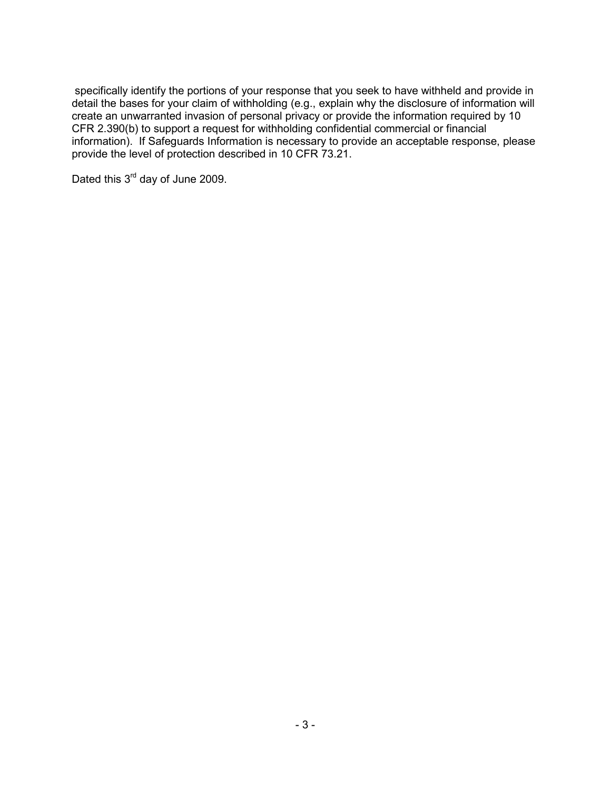specifically identify the portions of your response that you seek to have withheld and provide in detail the bases for your claim of withholding (e.g., explain why the disclosure of information will create an unwarranted invasion of personal privacy or provide the information required by 10 CFR 2.390(b) to support a request for withholding confidential commercial or financial information). If Safeguards Information is necessary to provide an acceptable response, please provide the level of protection described in 10 CFR 73.21.

Dated this 3<sup>rd</sup> day of June 2009.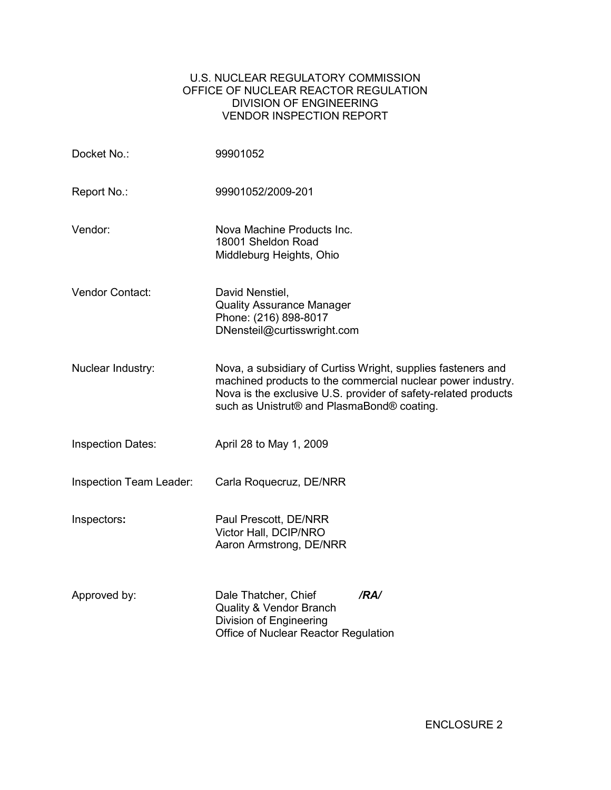## U.S. NUCLEAR REGULATORY COMMISSION OFFICE OF NUCLEAR REACTOR REGULATION DIVISION OF ENGINEERING VENDOR INSPECTION REPORT

| Docket No.:              | 99901052                                                                                                                                                                                                                                    |
|--------------------------|---------------------------------------------------------------------------------------------------------------------------------------------------------------------------------------------------------------------------------------------|
| Report No.:              | 99901052/2009-201                                                                                                                                                                                                                           |
| Vendor:                  | Nova Machine Products Inc.<br>18001 Sheldon Road<br>Middleburg Heights, Ohio                                                                                                                                                                |
| Vendor Contact:          | David Nenstiel,<br><b>Quality Assurance Manager</b><br>Phone: (216) 898-8017<br>DNensteil@curtisswright.com                                                                                                                                 |
| Nuclear Industry:        | Nova, a subsidiary of Curtiss Wright, supplies fasteners and<br>machined products to the commercial nuclear power industry.<br>Nova is the exclusive U.S. provider of safety-related products<br>such as Unistrut® and PlasmaBond® coating. |
| <b>Inspection Dates:</b> | April 28 to May 1, 2009                                                                                                                                                                                                                     |
| Inspection Team Leader:  | Carla Roquecruz, DE/NRR                                                                                                                                                                                                                     |
| Inspectors:              | Paul Prescott, DE/NRR<br>Victor Hall, DCIP/NRO<br>Aaron Armstrong, DE/NRR                                                                                                                                                                   |
| Approved by:             | /RA/<br>Dale Thatcher, Chief<br>Quality & Vendor Branch<br>Division of Engineering<br>Office of Nuclear Reactor Regulation                                                                                                                  |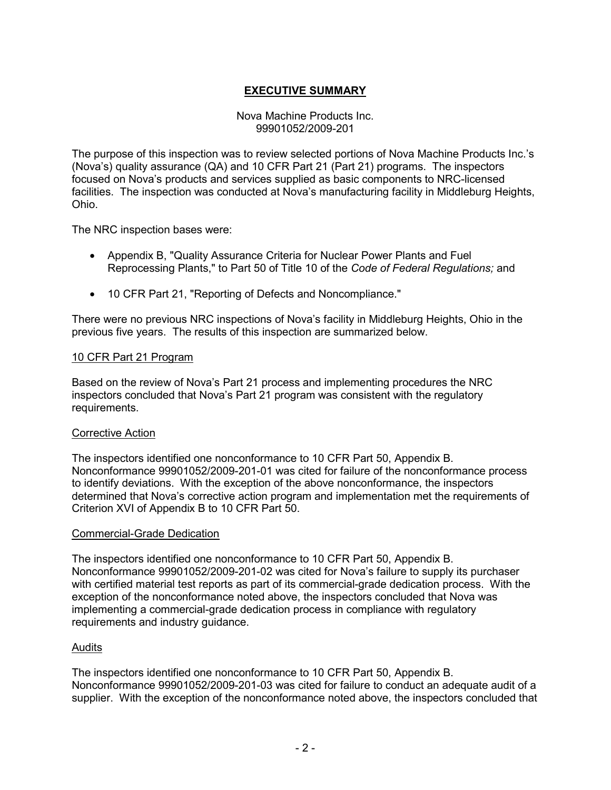# **EXECUTIVE SUMMARY**

#### Nova Machine Products Inc. 99901052/2009-201

The purpose of this inspection was to review selected portions of Nova Machine Products Inc.'s (Nova's) quality assurance (QA) and 10 CFR Part 21 (Part 21) programs. The inspectors focused on Nova's products and services supplied as basic components to NRC-licensed facilities. The inspection was conducted at Nova's manufacturing facility in Middleburg Heights, Ohio.

The NRC inspection bases were:

- Appendix B, "Quality Assurance Criteria for Nuclear Power Plants and Fuel Reprocessing Plants," to Part 50 of Title 10 of the *Code of Federal Regulations;* and
- 10 CFR Part 21, "Reporting of Defects and Noncompliance."

There were no previous NRC inspections of Nova's facility in Middleburg Heights, Ohio in the previous five years. The results of this inspection are summarized below.

#### 10 CFR Part 21 Program

Based on the review of Nova's Part 21 process and implementing procedures the NRC inspectors concluded that Nova's Part 21 program was consistent with the regulatory requirements.

#### Corrective Action

The inspectors identified one nonconformance to 10 CFR Part 50, Appendix B. Nonconformance 99901052/2009-201-01 was cited for failure of the nonconformance process to identify deviations. With the exception of the above nonconformance, the inspectors determined that Nova's corrective action program and implementation met the requirements of Criterion XVI of Appendix B to 10 CFR Part 50.

#### Commercial-Grade Dedication

The inspectors identified one nonconformance to 10 CFR Part 50, Appendix B. Nonconformance 99901052/2009-201-02 was cited for Nova's failure to supply its purchaser with certified material test reports as part of its commercial-grade dedication process. With the exception of the nonconformance noted above, the inspectors concluded that Nova was implementing a commercial-grade dedication process in compliance with regulatory requirements and industry guidance.

## Audits

The inspectors identified one nonconformance to 10 CFR Part 50, Appendix B. Nonconformance 99901052/2009-201-03 was cited for failure to conduct an adequate audit of a supplier. With the exception of the nonconformance noted above, the inspectors concluded that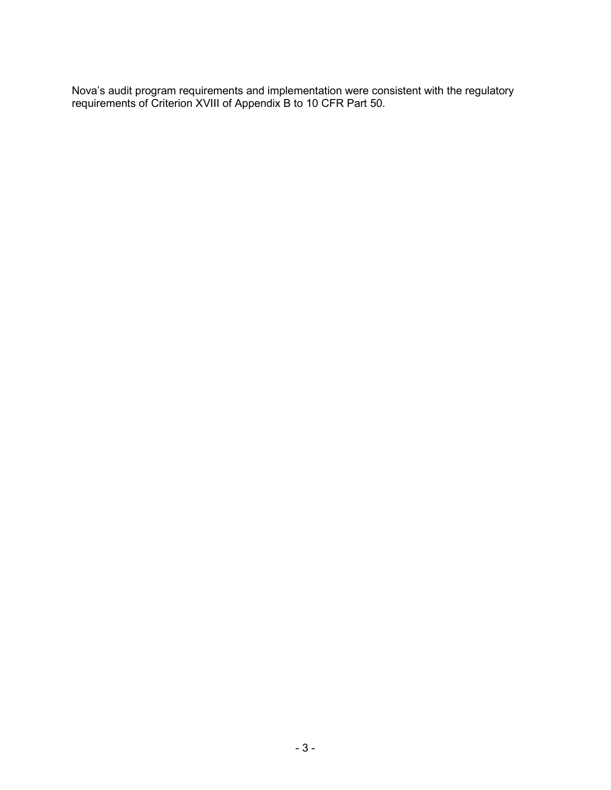Nova's audit program requirements and implementation were consistent with the regulatory requirements of Criterion XVIII of Appendix B to 10 CFR Part 50.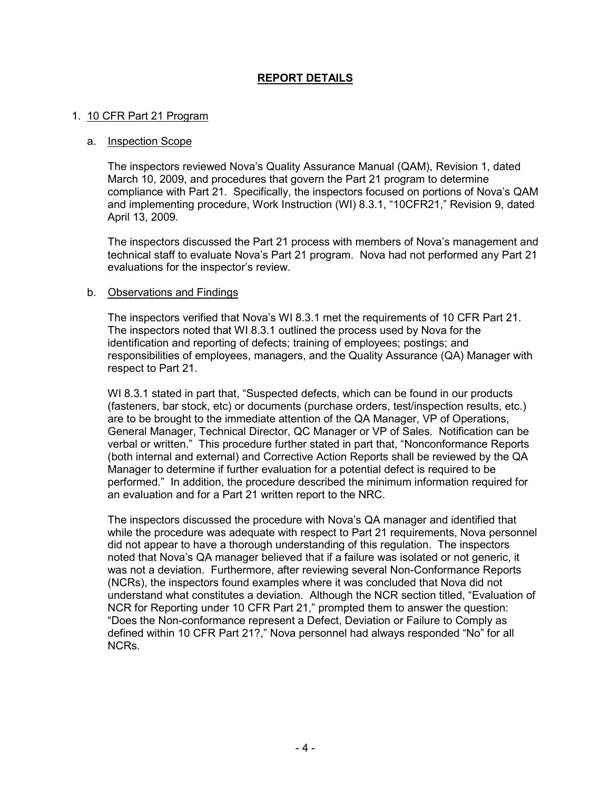## **REPORT DETAILS**

#### 1. 10 CFR Part 21 Program

#### a. Inspection Scope

The inspectors reviewed Nova's Quality Assurance Manual (QAM), Revision 1, dated March 10, 2009, and procedures that govern the Part 21 program to determine compliance with Part 21. Specifically, the inspectors focused on portions of Nova's QAM and implementing procedure, Work Instruction (WI) 8.3.1, "10CFR21," Revision 9, dated April 13, 2009.

The inspectors discussed the Part 21 process with members of Nova's management and technical staff to evaluate Nova's Part 21 program. Nova had not performed any Part 21 evaluations for the inspector's review.

#### b. Observations and Findings

The inspectors verified that Nova's WI 8.3.1 met the requirements of 10 CFR Part 21. The inspectors noted that WI 8.3.1 outlined the process used by Nova for the identification and reporting of defects; training of employees; postings; and responsibilities of employees, managers, and the Quality Assurance (QA) Manager with respect to Part 21.

WI 8.3.1 stated in part that, "Suspected defects, which can be found in our products (fasteners, bar stock, etc) or documents (purchase orders, test/inspection results, etc.) are to be brought to the immediate attention of the QA Manager, VP of Operations, General Manager, Technical Director, QC Manager or VP of Sales. Notification can be verbal or written." This procedure further stated in part that, "Nonconformance Reports (both internal and external) and Corrective Action Reports shall be reviewed by the QA Manager to determine if further evaluation for a potential defect is required to be performed." In addition, the procedure described the minimum information required for an evaluation and for a Part 21 written report to the NRC.

The inspectors discussed the procedure with Nova's QA manager and identified that while the procedure was adequate with respect to Part 21 requirements, Nova personnel did not appear to have a thorough understanding of this regulation. The inspectors noted that Nova's QA manager believed that if a failure was isolated or not generic, it was not a deviation. Furthermore, after reviewing several Non-Conformance Reports (NCRs), the inspectors found examples where it was concluded that Nova did not understand what constitutes a deviation. Although the NCR section titled, "Evaluation of NCR for Reporting under 10 CFR Part 21," prompted them to answer the question: "Does the Non-conformance represent a Defect, Deviation or Failure to Comply as defined within 10 CFR Part 21?," Nova personnel had always responded "No" for all NCRs.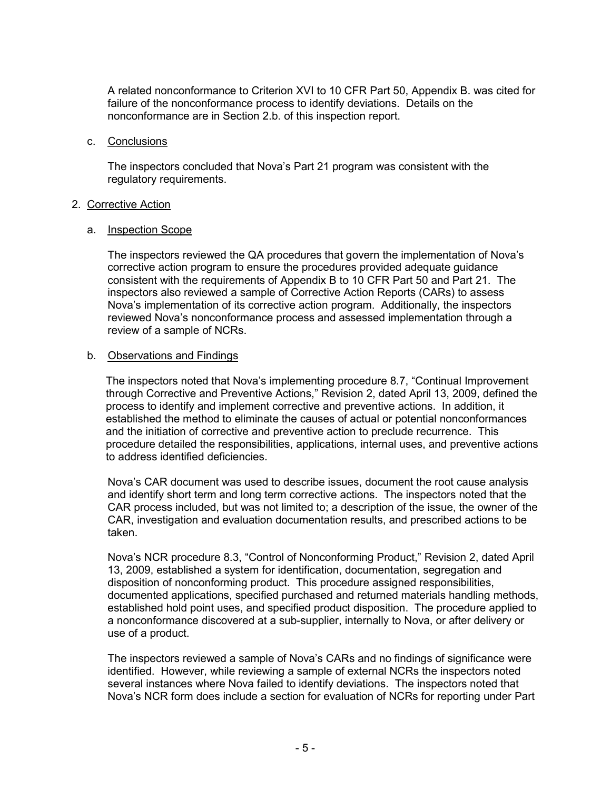A related nonconformance to Criterion XVI to 10 CFR Part 50, Appendix B. was cited for failure of the nonconformance process to identify deviations. Details on the nonconformance are in Section 2.b. of this inspection report.

#### c. Conclusions

The inspectors concluded that Nova's Part 21 program was consistent with the regulatory requirements.

#### 2. Corrective Action

#### a. Inspection Scope

The inspectors reviewed the QA procedures that govern the implementation of Nova's corrective action program to ensure the procedures provided adequate guidance consistent with the requirements of Appendix B to 10 CFR Part 50 and Part 21. The inspectors also reviewed a sample of Corrective Action Reports (CARs) to assess Nova's implementation of its corrective action program. Additionally, the inspectors reviewed Nova's nonconformance process and assessed implementation through a review of a sample of NCRs.

#### b. Observations and Findings

The inspectors noted that Nova's implementing procedure 8.7, "Continual Improvement through Corrective and Preventive Actions," Revision 2, dated April 13, 2009, defined the process to identify and implement corrective and preventive actions. In addition, it established the method to eliminate the causes of actual or potential nonconformances and the initiation of corrective and preventive action to preclude recurrence. This procedure detailed the responsibilities, applications, internal uses, and preventive actions to address identified deficiencies.

Nova's CAR document was used to describe issues, document the root cause analysis and identify short term and long term corrective actions. The inspectors noted that the CAR process included, but was not limited to; a description of the issue, the owner of the CAR, investigation and evaluation documentation results, and prescribed actions to be taken.

Nova's NCR procedure 8.3, "Control of Nonconforming Product," Revision 2, dated April 13, 2009, established a system for identification, documentation, segregation and disposition of nonconforming product. This procedure assigned responsibilities, documented applications, specified purchased and returned materials handling methods, established hold point uses, and specified product disposition. The procedure applied to a nonconformance discovered at a sub-supplier, internally to Nova, or after delivery or use of a product.

The inspectors reviewed a sample of Nova's CARs and no findings of significance were identified. However, while reviewing a sample of external NCRs the inspectors noted several instances where Nova failed to identify deviations. The inspectors noted that Nova's NCR form does include a section for evaluation of NCRs for reporting under Part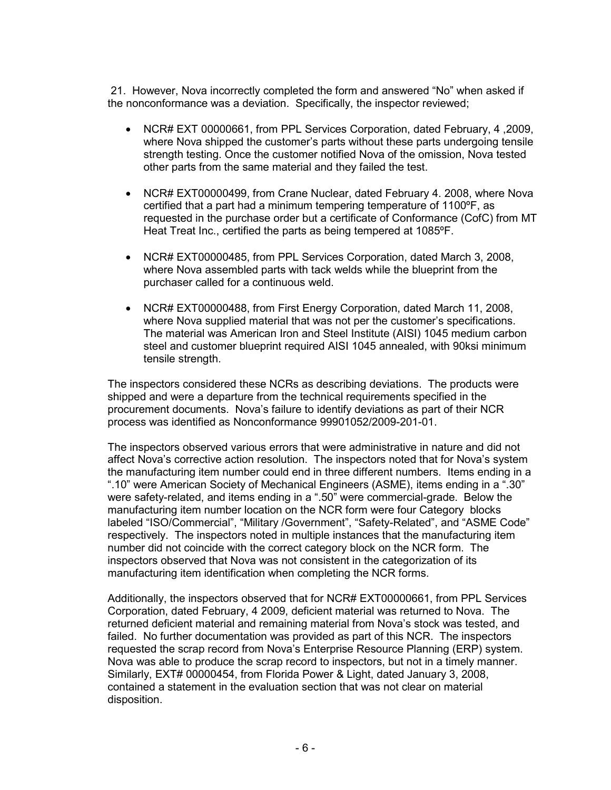21. However, Nova incorrectly completed the form and answered "No" when asked if the nonconformance was a deviation. Specifically, the inspector reviewed;

- NCR# EXT 00000661, from PPL Services Corporation, dated February, 4 ,2009, where Nova shipped the customer's parts without these parts undergoing tensile strength testing. Once the customer notified Nova of the omission, Nova tested other parts from the same material and they failed the test.
- NCR# EXT00000499, from Crane Nuclear, dated February 4. 2008, where Nova certified that a part had a minimum tempering temperature of 1100ºF, as requested in the purchase order but a certificate of Conformance (CofC) from MT Heat Treat Inc., certified the parts as being tempered at 1085ºF.
- NCR# EXT00000485, from PPL Services Corporation, dated March 3, 2008, where Nova assembled parts with tack welds while the blueprint from the purchaser called for a continuous weld.
- NCR# EXT00000488, from First Energy Corporation, dated March 11, 2008, where Nova supplied material that was not per the customer's specifications. The material was American Iron and Steel Institute (AISI) 1045 medium carbon steel and customer blueprint required AISI 1045 annealed, with 90ksi minimum tensile strength.

The inspectors considered these NCRs as describing deviations. The products were shipped and were a departure from the technical requirements specified in the procurement documents. Nova's failure to identify deviations as part of their NCR process was identified as Nonconformance 99901052/2009-201-01.

The inspectors observed various errors that were administrative in nature and did not affect Nova's corrective action resolution. The inspectors noted that for Nova's system the manufacturing item number could end in three different numbers. Items ending in a ".10" were American Society of Mechanical Engineers (ASME), items ending in a ".30" were safety-related, and items ending in a ".50" were commercial-grade. Below the manufacturing item number location on the NCR form were four Category blocks labeled "ISO/Commercial", "Military /Government", "Safety-Related", and "ASME Code" respectively. The inspectors noted in multiple instances that the manufacturing item number did not coincide with the correct category block on the NCR form. The inspectors observed that Nova was not consistent in the categorization of its manufacturing item identification when completing the NCR forms.

Additionally, the inspectors observed that for NCR# EXT00000661, from PPL Services Corporation, dated February, 4 2009, deficient material was returned to Nova. The returned deficient material and remaining material from Nova's stock was tested, and failed. No further documentation was provided as part of this NCR. The inspectors requested the scrap record from Nova's Enterprise Resource Planning (ERP) system. Nova was able to produce the scrap record to inspectors, but not in a timely manner. Similarly, EXT# 00000454, from Florida Power & Light, dated January 3, 2008, contained a statement in the evaluation section that was not clear on material disposition.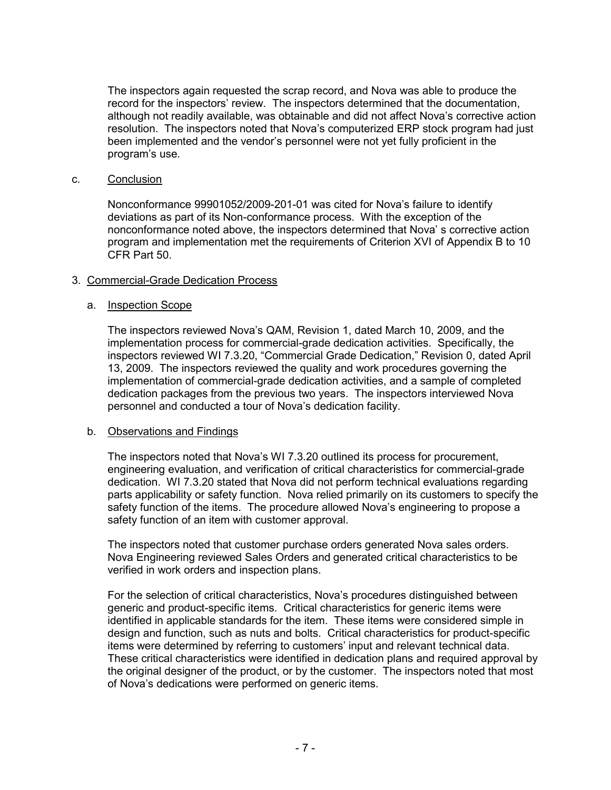The inspectors again requested the scrap record, and Nova was able to produce the record for the inspectors' review. The inspectors determined that the documentation, although not readily available, was obtainable and did not affect Nova's corrective action resolution. The inspectors noted that Nova's computerized ERP stock program had just been implemented and the vendor's personnel were not yet fully proficient in the program's use.

#### c. Conclusion

Nonconformance 99901052/2009-201-01 was cited for Nova's failure to identify deviations as part of its Non-conformance process. With the exception of the nonconformance noted above, the inspectors determined that Nova' s corrective action program and implementation met the requirements of Criterion XVI of Appendix B to 10 CFR Part 50.

## 3. Commercial-Grade Dedication Process

#### a. Inspection Scope

The inspectors reviewed Nova's QAM, Revision 1, dated March 10, 2009, and the implementation process for commercial-grade dedication activities. Specifically, the inspectors reviewed WI 7.3.20, "Commercial Grade Dedication," Revision 0, dated April 13, 2009. The inspectors reviewed the quality and work procedures governing the implementation of commercial-grade dedication activities, and a sample of completed dedication packages from the previous two years. The inspectors interviewed Nova personnel and conducted a tour of Nova's dedication facility.

#### b. Observations and Findings

The inspectors noted that Nova's WI 7.3.20 outlined its process for procurement, engineering evaluation, and verification of critical characteristics for commercial-grade dedication. WI 7.3.20 stated that Nova did not perform technical evaluations regarding parts applicability or safety function. Nova relied primarily on its customers to specify the safety function of the items. The procedure allowed Nova's engineering to propose a safety function of an item with customer approval.

The inspectors noted that customer purchase orders generated Nova sales orders. Nova Engineering reviewed Sales Orders and generated critical characteristics to be verified in work orders and inspection plans.

For the selection of critical characteristics, Nova's procedures distinguished between generic and product-specific items. Critical characteristics for generic items were identified in applicable standards for the item. These items were considered simple in design and function, such as nuts and bolts. Critical characteristics for product-specific items were determined by referring to customers' input and relevant technical data. These critical characteristics were identified in dedication plans and required approval by the original designer of the product, or by the customer. The inspectors noted that most of Nova's dedications were performed on generic items.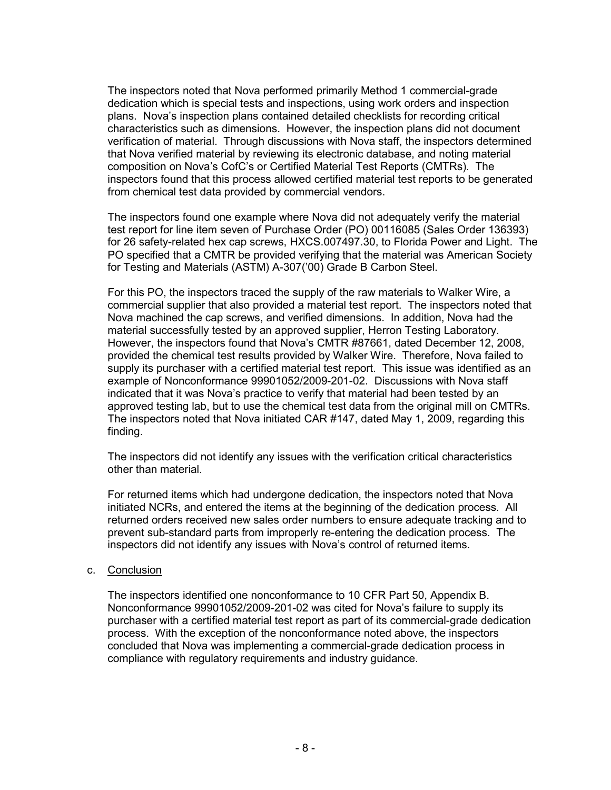The inspectors noted that Nova performed primarily Method 1 commercial-grade dedication which is special tests and inspections, using work orders and inspection plans. Nova's inspection plans contained detailed checklists for recording critical characteristics such as dimensions. However, the inspection plans did not document verification of material. Through discussions with Nova staff, the inspectors determined that Nova verified material by reviewing its electronic database, and noting material composition on Nova's CofC's or Certified Material Test Reports (CMTRs). The inspectors found that this process allowed certified material test reports to be generated from chemical test data provided by commercial vendors.

The inspectors found one example where Nova did not adequately verify the material test report for line item seven of Purchase Order (PO) 00116085 (Sales Order 136393) for 26 safety-related hex cap screws, HXCS.007497.30, to Florida Power and Light. The PO specified that a CMTR be provided verifying that the material was American Society for Testing and Materials (ASTM) A-307('00) Grade B Carbon Steel.

For this PO, the inspectors traced the supply of the raw materials to Walker Wire, a commercial supplier that also provided a material test report. The inspectors noted that Nova machined the cap screws, and verified dimensions. In addition, Nova had the material successfully tested by an approved supplier, Herron Testing Laboratory. However, the inspectors found that Nova's CMTR #87661, dated December 12, 2008, provided the chemical test results provided by Walker Wire. Therefore, Nova failed to supply its purchaser with a certified material test report. This issue was identified as an example of Nonconformance 99901052/2009-201-02. Discussions with Nova staff indicated that it was Nova's practice to verify that material had been tested by an approved testing lab, but to use the chemical test data from the original mill on CMTRs. The inspectors noted that Nova initiated CAR #147, dated May 1, 2009, regarding this finding.

The inspectors did not identify any issues with the verification critical characteristics other than material.

For returned items which had undergone dedication, the inspectors noted that Nova initiated NCRs, and entered the items at the beginning of the dedication process. All returned orders received new sales order numbers to ensure adequate tracking and to prevent sub-standard parts from improperly re-entering the dedication process. The inspectors did not identify any issues with Nova's control of returned items.

#### c. Conclusion

The inspectors identified one nonconformance to 10 CFR Part 50, Appendix B. Nonconformance 99901052/2009-201-02 was cited for Nova's failure to supply its purchaser with a certified material test report as part of its commercial-grade dedication process. With the exception of the nonconformance noted above, the inspectors concluded that Nova was implementing a commercial-grade dedication process in compliance with regulatory requirements and industry guidance.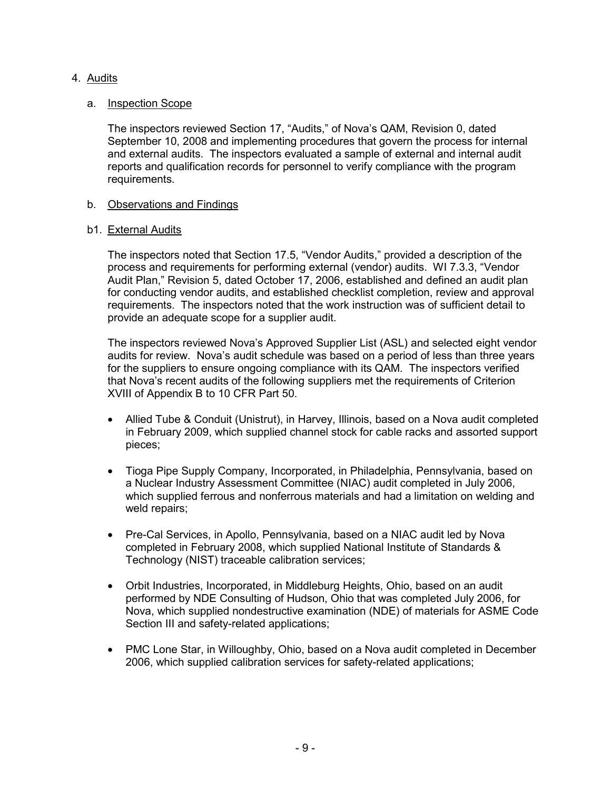## 4. Audits

## a. Inspection Scope

The inspectors reviewed Section 17, "Audits," of Nova's QAM, Revision 0, dated September 10, 2008 and implementing procedures that govern the process for internal and external audits. The inspectors evaluated a sample of external and internal audit reports and qualification records for personnel to verify compliance with the program requirements.

## b. Observations and Findings

#### b1. External Audits

The inspectors noted that Section 17.5, "Vendor Audits," provided a description of the process and requirements for performing external (vendor) audits. WI 7.3.3, "Vendor Audit Plan," Revision 5, dated October 17, 2006, established and defined an audit plan for conducting vendor audits, and established checklist completion, review and approval requirements. The inspectors noted that the work instruction was of sufficient detail to provide an adequate scope for a supplier audit.

The inspectors reviewed Nova's Approved Supplier List (ASL) and selected eight vendor audits for review. Nova's audit schedule was based on a period of less than three years for the suppliers to ensure ongoing compliance with its QAM. The inspectors verified that Nova's recent audits of the following suppliers met the requirements of Criterion XVIII of Appendix B to 10 CFR Part 50.

- Allied Tube & Conduit (Unistrut), in Harvey, Illinois, based on a Nova audit completed in February 2009, which supplied channel stock for cable racks and assorted support pieces;
- Tioga Pipe Supply Company, Incorporated, in Philadelphia, Pennsylvania, based on a Nuclear Industry Assessment Committee (NIAC) audit completed in July 2006, which supplied ferrous and nonferrous materials and had a limitation on welding and weld repairs;
- Pre-Cal Services, in Apollo, Pennsylvania, based on a NIAC audit led by Nova completed in February 2008, which supplied National Institute of Standards & Technology (NIST) traceable calibration services;
- Orbit Industries, Incorporated, in Middleburg Heights, Ohio, based on an audit performed by NDE Consulting of Hudson, Ohio that was completed July 2006, for Nova, which supplied nondestructive examination (NDE) of materials for ASME Code Section III and safety-related applications;
- PMC Lone Star, in Willoughby, Ohio, based on a Nova audit completed in December 2006, which supplied calibration services for safety-related applications;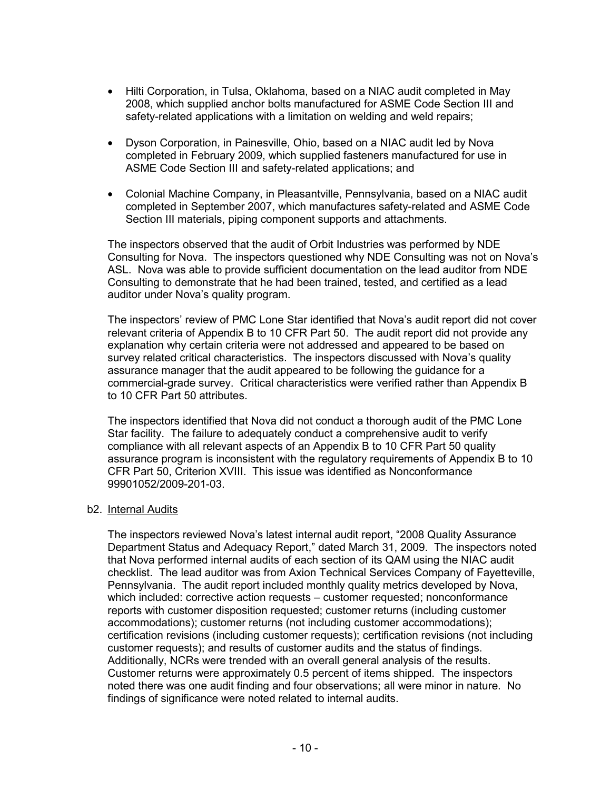- Hilti Corporation, in Tulsa, Oklahoma, based on a NIAC audit completed in May 2008, which supplied anchor bolts manufactured for ASME Code Section III and safety-related applications with a limitation on welding and weld repairs;
- Dyson Corporation, in Painesville, Ohio, based on a NIAC audit led by Nova completed in February 2009, which supplied fasteners manufactured for use in ASME Code Section III and safety-related applications; and
- Colonial Machine Company, in Pleasantville, Pennsylvania, based on a NIAC audit completed in September 2007, which manufactures safety-related and ASME Code Section III materials, piping component supports and attachments.

The inspectors observed that the audit of Orbit Industries was performed by NDE Consulting for Nova. The inspectors questioned why NDE Consulting was not on Nova's ASL. Nova was able to provide sufficient documentation on the lead auditor from NDE Consulting to demonstrate that he had been trained, tested, and certified as a lead auditor under Nova's quality program.

The inspectors' review of PMC Lone Star identified that Nova's audit report did not cover relevant criteria of Appendix B to 10 CFR Part 50. The audit report did not provide any explanation why certain criteria were not addressed and appeared to be based on survey related critical characteristics. The inspectors discussed with Nova's quality assurance manager that the audit appeared to be following the guidance for a commercial-grade survey. Critical characteristics were verified rather than Appendix B to 10 CFR Part 50 attributes.

The inspectors identified that Nova did not conduct a thorough audit of the PMC Lone Star facility. The failure to adequately conduct a comprehensive audit to verify compliance with all relevant aspects of an Appendix B to 10 CFR Part 50 quality assurance program is inconsistent with the regulatory requirements of Appendix B to 10 CFR Part 50, Criterion XVIII. This issue was identified as Nonconformance 99901052/2009-201-03.

#### b2. Internal Audits

The inspectors reviewed Nova's latest internal audit report, "2008 Quality Assurance Department Status and Adequacy Report," dated March 31, 2009. The inspectors noted that Nova performed internal audits of each section of its QAM using the NIAC audit checklist. The lead auditor was from Axion Technical Services Company of Fayetteville, Pennsylvania. The audit report included monthly quality metrics developed by Nova, which included: corrective action requests – customer requested; nonconformance reports with customer disposition requested; customer returns (including customer accommodations); customer returns (not including customer accommodations); certification revisions (including customer requests); certification revisions (not including customer requests); and results of customer audits and the status of findings. Additionally, NCRs were trended with an overall general analysis of the results. Customer returns were approximately 0.5 percent of items shipped. The inspectors noted there was one audit finding and four observations; all were minor in nature. No findings of significance were noted related to internal audits.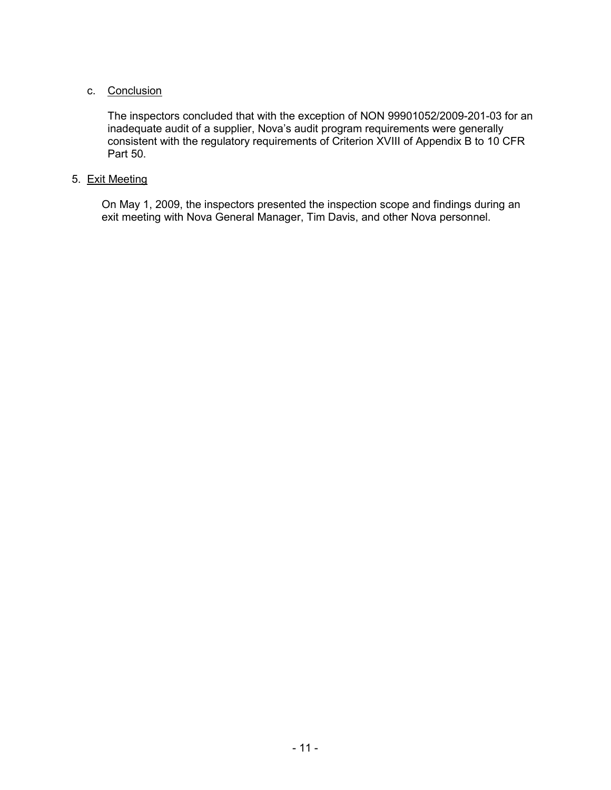## c. Conclusion

The inspectors concluded that with the exception of NON 99901052/2009-201-03 for an inadequate audit of a supplier, Nova's audit program requirements were generally consistent with the regulatory requirements of Criterion XVIII of Appendix B to 10 CFR Part 50.

## 5. Exit Meeting

On May 1, 2009, the inspectors presented the inspection scope and findings during an exit meeting with Nova General Manager, Tim Davis, and other Nova personnel.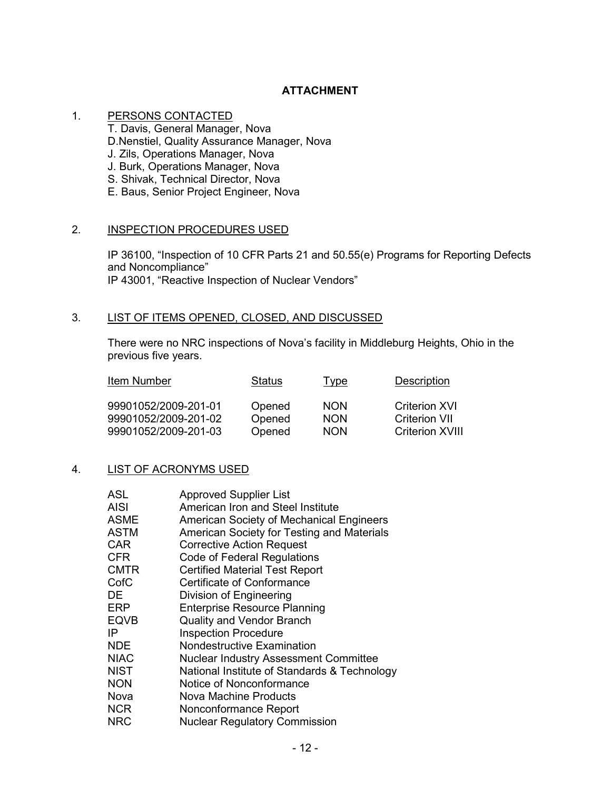# **ATTACHMENT**

## 1. PERSONS CONTACTED

T. Davis, General Manager, Nova

D.Nenstiel, Quality Assurance Manager, Nova

- J. Zils, Operations Manager, Nova
- J. Burk, Operations Manager, Nova
- S. Shivak, Technical Director, Nova
- E. Baus, Senior Project Engineer, Nova

#### 2. INSPECTION PROCEDURES USED

IP 36100, "Inspection of 10 CFR Parts 21 and 50.55(e) Programs for Reporting Defects and Noncompliance" IP 43001, "Reactive Inspection of Nuclear Vendors"

# 3. LIST OF ITEMS OPENED, CLOSED, AND DISCUSSED

There were no NRC inspections of Nova's facility in Middleburg Heights, Ohio in the previous five years.

| Item Number          | <b>Status</b> | Type       | <b>Description</b>     |
|----------------------|---------------|------------|------------------------|
| 99901052/2009-201-01 | Opened        | <b>NON</b> | <b>Criterion XVI</b>   |
| 99901052/2009-201-02 | Opened        | <b>NON</b> | <b>Criterion VII</b>   |
| 99901052/2009-201-03 | Opened        | <b>NON</b> | <b>Criterion XVIII</b> |

## 4. LIST OF ACRONYMS USED

| <b>ASL</b>  | <b>Approved Supplier List</b>                |
|-------------|----------------------------------------------|
| <b>AISI</b> | American Iron and Steel Institute            |
| <b>ASME</b> | American Society of Mechanical Engineers     |
| <b>ASTM</b> | American Society for Testing and Materials   |
| CAR         | <b>Corrective Action Request</b>             |
| <b>CFR</b>  | Code of Federal Regulations                  |
| <b>CMTR</b> | <b>Certified Material Test Report</b>        |
| CofC        | Certificate of Conformance                   |
| DE          | Division of Engineering                      |
| ERP         | <b>Enterprise Resource Planning</b>          |
| <b>EQVB</b> | <b>Quality and Vendor Branch</b>             |
| IP          | <b>Inspection Procedure</b>                  |
| NDE.        | Nondestructive Examination                   |
| NIAC        | Nuclear Industry Assessment Committee        |
| NIST        | National Institute of Standards & Technology |
| <b>NON</b>  | Notice of Nonconformance                     |
| Nova        | Nova Machine Products                        |
| <b>NCR</b>  | Nonconformance Report                        |
| NRC         | <b>Nuclear Regulatory Commission</b>         |